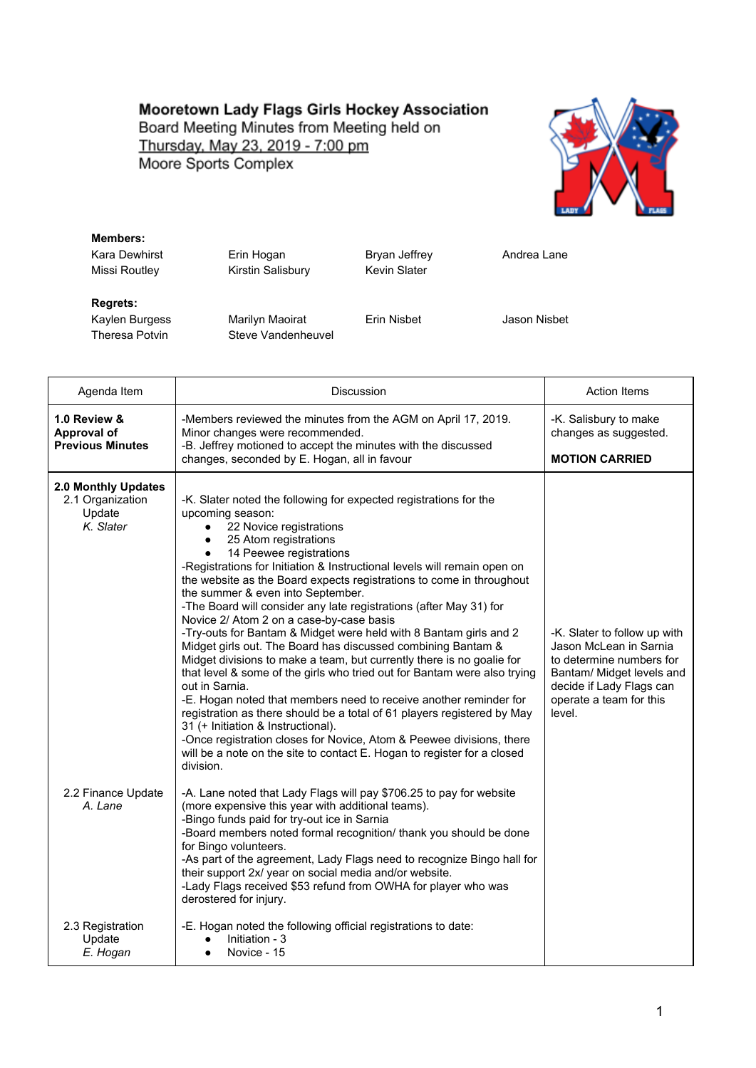## Mooretown Lady Flags Girls Hockey Association

Board Meeting Minutes from Meeting held on Thursday, May 23, 2019 - 7:00 pm Moore Sports Complex



## **Members:** Kara Dewhirst **Erin Hogan** Bryan Jeffrey **Andrea Lane** Missi Routley **Kirstin Salisbury** Kevin Slater **Regrets:** Kaylen Burgess Marilyn Maoirat Erin Nisbet Jason Nisbet Theresa Potvin Steve Vandenheuvel

| Agenda Item                                                    | <b>Discussion</b>                                                                                                                                                                                                                                                                                                                                                                                                                                                                                                                                                                                                                                                                                                                                                                                                                                                                                                                                                                                                                                                                                                                                              | <b>Action Items</b>                                                                                                                                                              |
|----------------------------------------------------------------|----------------------------------------------------------------------------------------------------------------------------------------------------------------------------------------------------------------------------------------------------------------------------------------------------------------------------------------------------------------------------------------------------------------------------------------------------------------------------------------------------------------------------------------------------------------------------------------------------------------------------------------------------------------------------------------------------------------------------------------------------------------------------------------------------------------------------------------------------------------------------------------------------------------------------------------------------------------------------------------------------------------------------------------------------------------------------------------------------------------------------------------------------------------|----------------------------------------------------------------------------------------------------------------------------------------------------------------------------------|
| 1.0 Review &<br><b>Approval of</b><br><b>Previous Minutes</b>  | -Members reviewed the minutes from the AGM on April 17, 2019.<br>Minor changes were recommended.<br>-B. Jeffrey motioned to accept the minutes with the discussed                                                                                                                                                                                                                                                                                                                                                                                                                                                                                                                                                                                                                                                                                                                                                                                                                                                                                                                                                                                              | -K. Salisbury to make<br>changes as suggested.                                                                                                                                   |
|                                                                | changes, seconded by E. Hogan, all in favour                                                                                                                                                                                                                                                                                                                                                                                                                                                                                                                                                                                                                                                                                                                                                                                                                                                                                                                                                                                                                                                                                                                   | <b>MOTION CARRIED</b>                                                                                                                                                            |
| 2.0 Monthly Updates<br>2.1 Organization<br>Update<br>K. Slater | -K. Slater noted the following for expected registrations for the<br>upcoming season:<br>22 Novice registrations<br>$\bullet$<br>25 Atom registrations<br>14 Peewee registrations<br>-Registrations for Initiation & Instructional levels will remain open on<br>the website as the Board expects registrations to come in throughout<br>the summer & even into September.<br>-The Board will consider any late registrations (after May 31) for<br>Novice 2/ Atom 2 on a case-by-case basis<br>-Try-outs for Bantam & Midget were held with 8 Bantam girls and 2<br>Midget girls out. The Board has discussed combining Bantam &<br>Midget divisions to make a team, but currently there is no goalie for<br>that level & some of the girls who tried out for Bantam were also trying<br>out in Sarnia.<br>-E. Hogan noted that members need to receive another reminder for<br>registration as there should be a total of 61 players registered by May<br>31 (+ Initiation & Instructional).<br>-Once registration closes for Novice, Atom & Peewee divisions, there<br>will be a note on the site to contact E. Hogan to register for a closed<br>division. | -K. Slater to follow up with<br>Jason McLean in Sarnia<br>to determine numbers for<br>Bantam/ Midget levels and<br>decide if Lady Flags can<br>operate a team for this<br>level. |
| 2.2 Finance Update<br>A. Lane                                  | -A. Lane noted that Lady Flags will pay \$706.25 to pay for website<br>(more expensive this year with additional teams).<br>-Bingo funds paid for try-out ice in Sarnia<br>-Board members noted formal recognition/ thank you should be done<br>for Bingo volunteers.<br>-As part of the agreement, Lady Flags need to recognize Bingo hall for<br>their support 2x/ year on social media and/or website.<br>-Lady Flags received \$53 refund from OWHA for player who was<br>derostered for injury.                                                                                                                                                                                                                                                                                                                                                                                                                                                                                                                                                                                                                                                           |                                                                                                                                                                                  |
| 2.3 Registration<br>Update<br>E. Hogan                         | -E. Hogan noted the following official registrations to date:<br>Initiation - 3<br>Novice - 15                                                                                                                                                                                                                                                                                                                                                                                                                                                                                                                                                                                                                                                                                                                                                                                                                                                                                                                                                                                                                                                                 |                                                                                                                                                                                  |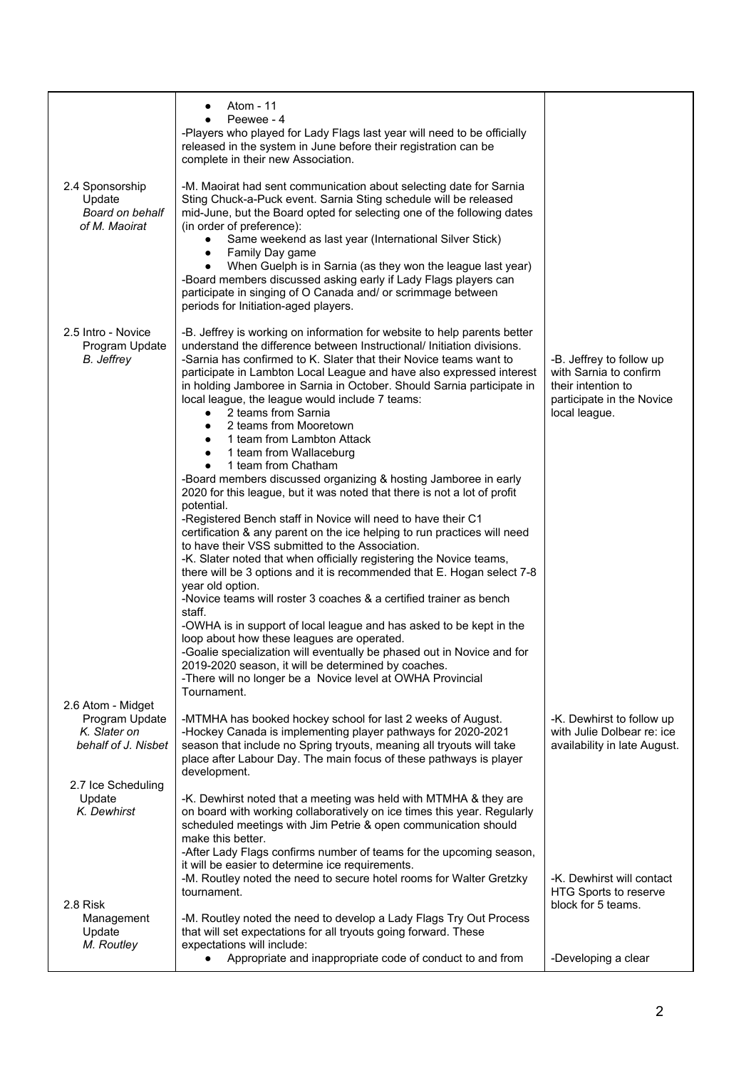| 2.4 Sponsorship                                                            | Atom - 11<br>Peewee - 4<br>-Players who played for Lady Flags last year will need to be officially<br>released in the system in June before their registration can be<br>complete in their new Association.<br>-M. Maoirat had sent communication about selecting date for Sarnia                                                                                                                                                                                                                                                                                                                                                                                                                                                                                                                                                                                                                                                                                                                                                                                                                                                                                                                                                                                                                                                                                                                                                                                                                                                                         |                                                                                                                        |
|----------------------------------------------------------------------------|-----------------------------------------------------------------------------------------------------------------------------------------------------------------------------------------------------------------------------------------------------------------------------------------------------------------------------------------------------------------------------------------------------------------------------------------------------------------------------------------------------------------------------------------------------------------------------------------------------------------------------------------------------------------------------------------------------------------------------------------------------------------------------------------------------------------------------------------------------------------------------------------------------------------------------------------------------------------------------------------------------------------------------------------------------------------------------------------------------------------------------------------------------------------------------------------------------------------------------------------------------------------------------------------------------------------------------------------------------------------------------------------------------------------------------------------------------------------------------------------------------------------------------------------------------------|------------------------------------------------------------------------------------------------------------------------|
| Update<br>Board on behalf<br>of M. Maoirat                                 | Sting Chuck-a-Puck event. Sarnia Sting schedule will be released<br>mid-June, but the Board opted for selecting one of the following dates<br>(in order of preference):<br>Same weekend as last year (International Silver Stick)<br>$\bullet$<br>Family Day game<br>٠<br>When Guelph is in Sarnia (as they won the league last year)<br>$\bullet$<br>-Board members discussed asking early if Lady Flags players can<br>participate in singing of O Canada and/ or scrimmage between<br>periods for Initiation-aged players.                                                                                                                                                                                                                                                                                                                                                                                                                                                                                                                                                                                                                                                                                                                                                                                                                                                                                                                                                                                                                             |                                                                                                                        |
| 2.5 Intro - Novice<br>Program Update<br>B. Jeffrey                         | -B. Jeffrey is working on information for website to help parents better<br>understand the difference between Instructional/ Initiation divisions.<br>-Sarnia has confirmed to K. Slater that their Novice teams want to<br>participate in Lambton Local League and have also expressed interest<br>in holding Jamboree in Sarnia in October. Should Sarnia participate in<br>local league, the league would include 7 teams:<br>2 teams from Sarnia<br>$\bullet$<br>2 teams from Mooretown<br>1 team from Lambton Attack<br>1 team from Wallaceburg<br>$\bullet$<br>1 team from Chatham<br>$\bullet$<br>-Board members discussed organizing & hosting Jamboree in early<br>2020 for this league, but it was noted that there is not a lot of profit<br>potential.<br>-Registered Bench staff in Novice will need to have their C1<br>certification & any parent on the ice helping to run practices will need<br>to have their VSS submitted to the Association.<br>-K. Slater noted that when officially registering the Novice teams,<br>there will be 3 options and it is recommended that E. Hogan select 7-8<br>year old option.<br>-Novice teams will roster 3 coaches & a certified trainer as bench<br>staff.<br>-OWHA is in support of local league and has asked to be kept in the<br>loop about how these leagues are operated.<br>-Goalie specialization will eventually be phased out in Novice and for<br>2019-2020 season, it will be determined by coaches.<br>-There will no longer be a Novice level at OWHA Provincial<br>Tournament. | -B. Jeffrey to follow up<br>with Sarnia to confirm<br>their intention to<br>participate in the Novice<br>local league. |
| 2.6 Atom - Midget<br>Program Update<br>K. Slater on<br>behalf of J. Nisbet | -MTMHA has booked hockey school for last 2 weeks of August.<br>-Hockey Canada is implementing player pathways for 2020-2021<br>season that include no Spring tryouts, meaning all tryouts will take<br>place after Labour Day. The main focus of these pathways is player<br>development.                                                                                                                                                                                                                                                                                                                                                                                                                                                                                                                                                                                                                                                                                                                                                                                                                                                                                                                                                                                                                                                                                                                                                                                                                                                                 | -K. Dewhirst to follow up<br>with Julie Dolbear re: ice<br>availability in late August.                                |
| 2.7 Ice Scheduling<br>Update<br>K. Dewhirst                                | -K. Dewhirst noted that a meeting was held with MTMHA & they are<br>on board with working collaboratively on ice times this year. Regularly<br>scheduled meetings with Jim Petrie & open communication should<br>make this better.<br>-After Lady Flags confirms number of teams for the upcoming season,<br>it will be easier to determine ice requirements.<br>-M. Routley noted the need to secure hotel rooms for Walter Gretzky<br>tournament.                                                                                                                                                                                                                                                                                                                                                                                                                                                                                                                                                                                                                                                                                                                                                                                                                                                                                                                                                                                                                                                                                                       | -K. Dewhirst will contact<br>HTG Sports to reserve                                                                     |
| 2.8 Risk<br>Management<br>Update<br>M. Routley                             | -M. Routley noted the need to develop a Lady Flags Try Out Process<br>that will set expectations for all tryouts going forward. These<br>expectations will include:<br>Appropriate and inappropriate code of conduct to and from                                                                                                                                                                                                                                                                                                                                                                                                                                                                                                                                                                                                                                                                                                                                                                                                                                                                                                                                                                                                                                                                                                                                                                                                                                                                                                                          | block for 5 teams.<br>-Developing a clear                                                                              |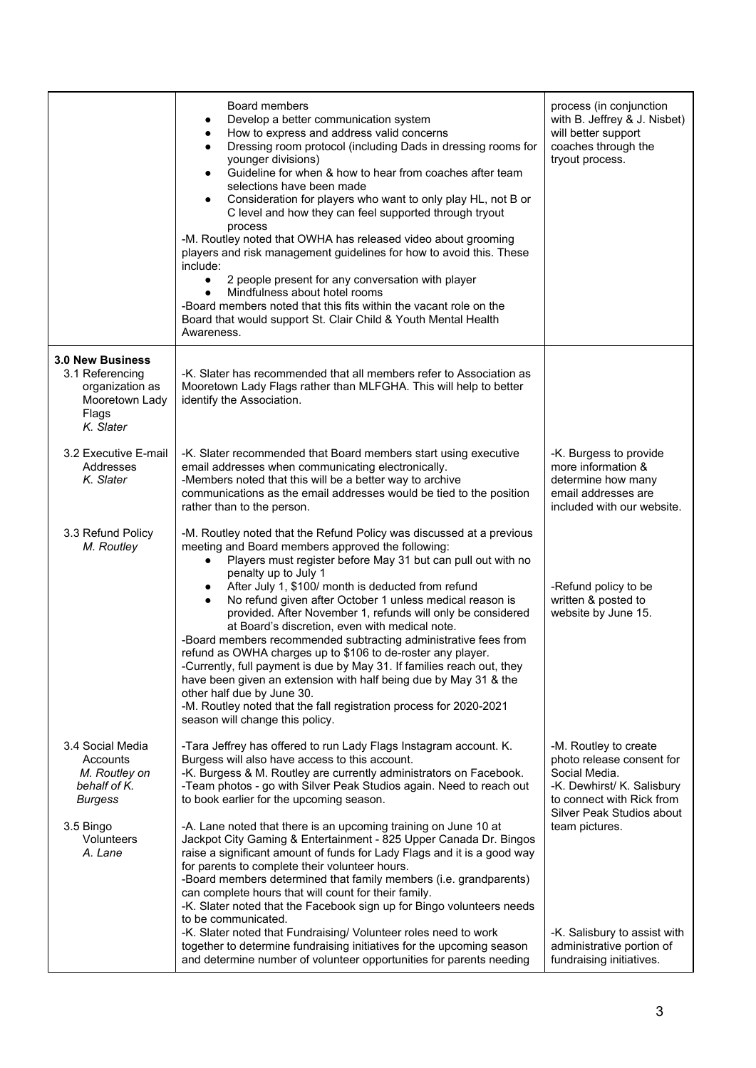|                                                                                                | Board members<br>Develop a better communication system<br>$\bullet$<br>How to express and address valid concerns<br>٠<br>Dressing room protocol (including Dads in dressing rooms for<br>younger divisions)<br>Guideline for when & how to hear from coaches after team<br>$\bullet$<br>selections have been made<br>Consideration for players who want to only play HL, not B or<br>٠<br>C level and how they can feel supported through tryout<br>process<br>-M. Routley noted that OWHA has released video about grooming<br>players and risk management guidelines for how to avoid this. These<br>include:<br>2 people present for any conversation with player<br>$\bullet$<br>Mindfulness about hotel rooms<br>$\bullet$<br>-Board members noted that this fits within the vacant role on the<br>Board that would support St. Clair Child & Youth Mental Health<br>Awareness.     | process (in conjunction<br>with B. Jeffrey & J. Nisbet)<br>will better support<br>coaches through the<br>tryout process.                                    |
|------------------------------------------------------------------------------------------------|------------------------------------------------------------------------------------------------------------------------------------------------------------------------------------------------------------------------------------------------------------------------------------------------------------------------------------------------------------------------------------------------------------------------------------------------------------------------------------------------------------------------------------------------------------------------------------------------------------------------------------------------------------------------------------------------------------------------------------------------------------------------------------------------------------------------------------------------------------------------------------------|-------------------------------------------------------------------------------------------------------------------------------------------------------------|
| 3.0 New Business<br>3.1 Referencing<br>organization as<br>Mooretown Lady<br>Flags<br>K. Slater | -K. Slater has recommended that all members refer to Association as<br>Mooretown Lady Flags rather than MLFGHA. This will help to better<br>identify the Association.                                                                                                                                                                                                                                                                                                                                                                                                                                                                                                                                                                                                                                                                                                                    |                                                                                                                                                             |
| 3.2 Executive E-mail<br>Addresses<br>K. Slater                                                 | -K. Slater recommended that Board members start using executive<br>email addresses when communicating electronically.<br>-Members noted that this will be a better way to archive<br>communications as the email addresses would be tied to the position<br>rather than to the person.                                                                                                                                                                                                                                                                                                                                                                                                                                                                                                                                                                                                   | -K. Burgess to provide<br>more information &<br>determine how many<br>email addresses are<br>included with our website.                                     |
| 3.3 Refund Policy<br>M. Routley                                                                | -M. Routley noted that the Refund Policy was discussed at a previous<br>meeting and Board members approved the following:<br>Players must register before May 31 but can pull out with no<br>$\bullet$<br>penalty up to July 1<br>After July 1, \$100/ month is deducted from refund<br>No refund given after October 1 unless medical reason is<br>provided. After November 1, refunds will only be considered<br>at Board's discretion, even with medical note.<br>-Board members recommended subtracting administrative fees from<br>refund as OWHA charges up to \$106 to de-roster any player.<br>-Currently, full payment is due by May 31. If families reach out, they<br>have been given an extension with half being due by May 31 & the<br>other half due by June 30.<br>-M. Routley noted that the fall registration process for 2020-2021<br>season will change this policy. | -Refund policy to be<br>written & posted to<br>website by June 15.                                                                                          |
| 3.4 Social Media<br>Accounts<br>M. Routley on<br>behalf of K.<br><b>Burgess</b>                | -Tara Jeffrey has offered to run Lady Flags Instagram account. K.<br>Burgess will also have access to this account.<br>-K. Burgess & M. Routley are currently administrators on Facebook.<br>-Team photos - go with Silver Peak Studios again. Need to reach out<br>to book earlier for the upcoming season.                                                                                                                                                                                                                                                                                                                                                                                                                                                                                                                                                                             | -M. Routley to create<br>photo release consent for<br>Social Media.<br>-K. Dewhirst/ K. Salisbury<br>to connect with Rick from<br>Silver Peak Studios about |
| 3.5 Bingo<br>Volunteers<br>A. Lane                                                             | -A. Lane noted that there is an upcoming training on June 10 at<br>Jackpot City Gaming & Entertainment - 825 Upper Canada Dr. Bingos<br>raise a significant amount of funds for Lady Flags and it is a good way<br>for parents to complete their volunteer hours.<br>-Board members determined that family members (i.e. grandparents)<br>can complete hours that will count for their family.<br>-K. Slater noted that the Facebook sign up for Bingo volunteers needs<br>to be communicated.                                                                                                                                                                                                                                                                                                                                                                                           | team pictures.                                                                                                                                              |
|                                                                                                | -K. Slater noted that Fundraising/ Volunteer roles need to work<br>together to determine fundraising initiatives for the upcoming season<br>and determine number of volunteer opportunities for parents needing                                                                                                                                                                                                                                                                                                                                                                                                                                                                                                                                                                                                                                                                          | -K. Salisbury to assist with<br>administrative portion of<br>fundraising initiatives.                                                                       |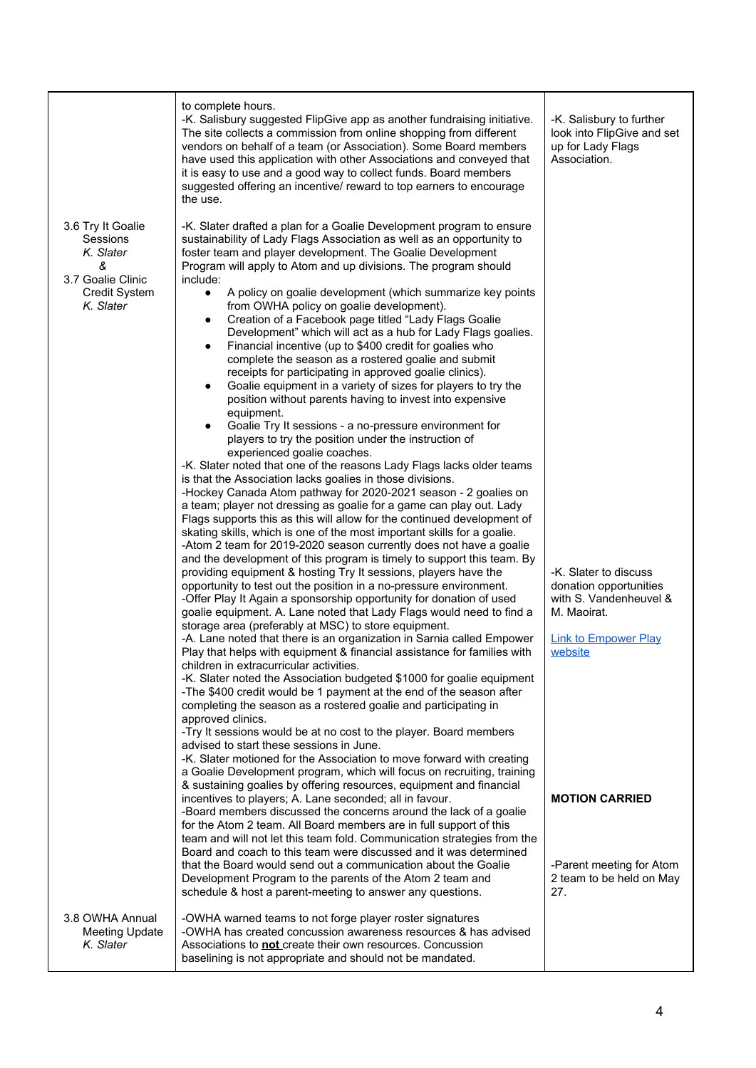|                                                                                                           | to complete hours.<br>-K. Salisbury suggested FlipGive app as another fundraising initiative.<br>The site collects a commission from online shopping from different<br>vendors on behalf of a team (or Association). Some Board members<br>have used this application with other Associations and conveyed that<br>it is easy to use and a good way to collect funds. Board members<br>suggested offering an incentive/ reward to top earners to encourage<br>the use.                                                                                                                                                                                                                                                                                                                                                                                                                                                                                                                                                                                                                                                                                                                                                                                                                                                                                                                                                                                                                                                                                                                                                                                                                                                                                                                                                                                                                                                                                                                                                                                            | -K. Salisbury to further<br>look into FlipGive and set<br>up for Lady Flags<br>Association.                             |
|-----------------------------------------------------------------------------------------------------------|-------------------------------------------------------------------------------------------------------------------------------------------------------------------------------------------------------------------------------------------------------------------------------------------------------------------------------------------------------------------------------------------------------------------------------------------------------------------------------------------------------------------------------------------------------------------------------------------------------------------------------------------------------------------------------------------------------------------------------------------------------------------------------------------------------------------------------------------------------------------------------------------------------------------------------------------------------------------------------------------------------------------------------------------------------------------------------------------------------------------------------------------------------------------------------------------------------------------------------------------------------------------------------------------------------------------------------------------------------------------------------------------------------------------------------------------------------------------------------------------------------------------------------------------------------------------------------------------------------------------------------------------------------------------------------------------------------------------------------------------------------------------------------------------------------------------------------------------------------------------------------------------------------------------------------------------------------------------------------------------------------------------------------------------------------------------|-------------------------------------------------------------------------------------------------------------------------|
| 3.6 Try It Goalie<br>Sessions<br>K. Slater<br>&<br>3.7 Goalie Clinic<br><b>Credit System</b><br>K. Slater | -K. Slater drafted a plan for a Goalie Development program to ensure<br>sustainability of Lady Flags Association as well as an opportunity to<br>foster team and player development. The Goalie Development<br>Program will apply to Atom and up divisions. The program should<br>include:<br>A policy on goalie development (which summarize key points<br>$\bullet$<br>from OWHA policy on goalie development).<br>Creation of a Facebook page titled "Lady Flags Goalie<br>٠<br>Development" which will act as a hub for Lady Flags goalies.<br>Financial incentive (up to \$400 credit for goalies who<br>$\bullet$<br>complete the season as a rostered goalie and submit<br>receipts for participating in approved goalie clinics).<br>Goalie equipment in a variety of sizes for players to try the<br>$\bullet$<br>position without parents having to invest into expensive<br>equipment.<br>Goalie Try It sessions - a no-pressure environment for<br>players to try the position under the instruction of<br>experienced goalie coaches.<br>-K. Slater noted that one of the reasons Lady Flags lacks older teams<br>is that the Association lacks goalies in those divisions.<br>-Hockey Canada Atom pathway for 2020-2021 season - 2 goalies on<br>a team; player not dressing as goalie for a game can play out. Lady<br>Flags supports this as this will allow for the continued development of<br>skating skills, which is one of the most important skills for a goalie.<br>-Atom 2 team for 2019-2020 season currently does not have a goalie<br>and the development of this program is timely to support this team. By<br>providing equipment & hosting Try It sessions, players have the<br>opportunity to test out the position in a no-pressure environment.<br>-Offer Play It Again a sponsorship opportunity for donation of used<br>goalie equipment. A. Lane noted that Lady Flags would need to find a<br>storage area (preferably at MSC) to store equipment.<br>-A. Lane noted that there is an organization in Sarnia called Empower | -K. Slater to discuss<br>donation opportunities<br>with S. Vandenheuvel &<br>M. Maoirat.<br><b>Link to Empower Play</b> |
| 3.8 OWHA Annual                                                                                           | Play that helps with equipment & financial assistance for families with<br>children in extracurricular activities.<br>-K. Slater noted the Association budgeted \$1000 for goalie equipment<br>-The \$400 credit would be 1 payment at the end of the season after<br>completing the season as a rostered goalie and participating in<br>approved clinics.<br>-Try It sessions would be at no cost to the player. Board members<br>advised to start these sessions in June.<br>-K. Slater motioned for the Association to move forward with creating<br>a Goalie Development program, which will focus on recruiting, training<br>& sustaining goalies by offering resources, equipment and financial<br>incentives to players; A. Lane seconded; all in favour.<br>-Board members discussed the concerns around the lack of a goalie<br>for the Atom 2 team. All Board members are in full support of this<br>team and will not let this team fold. Communication strategies from the<br>Board and coach to this team were discussed and it was determined<br>that the Board would send out a communication about the Goalie<br>Development Program to the parents of the Atom 2 team and<br>schedule & host a parent-meeting to answer any questions.<br>-OWHA warned teams to not forge player roster signatures                                                                                                                                                                                                                                                                                                                                                                                                                                                                                                                                                                                                                                                                                                                                               | website<br><b>MOTION CARRIED</b><br>-Parent meeting for Atom<br>2 team to be held on May<br>27.                         |
| <b>Meeting Update</b><br>K. Slater                                                                        | -OWHA has created concussion awareness resources & has advised<br>Associations to <b>not</b> create their own resources. Concussion<br>baselining is not appropriate and should not be mandated.                                                                                                                                                                                                                                                                                                                                                                                                                                                                                                                                                                                                                                                                                                                                                                                                                                                                                                                                                                                                                                                                                                                                                                                                                                                                                                                                                                                                                                                                                                                                                                                                                                                                                                                                                                                                                                                                  |                                                                                                                         |